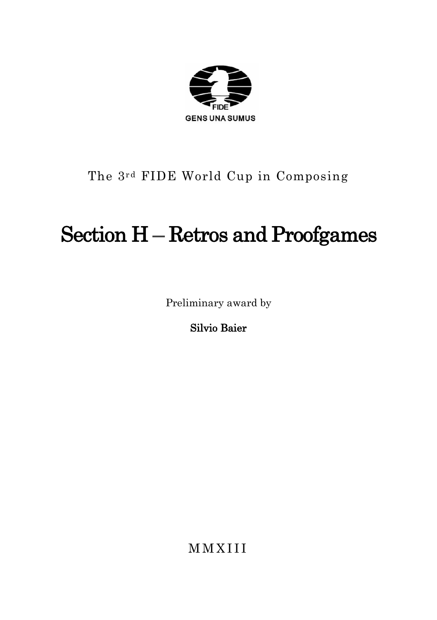

# The 3rd FIDE World Cup in Composing

# Section H – Retros and Proofgames

Preliminary award by

Silvio Baier

**MMXIII**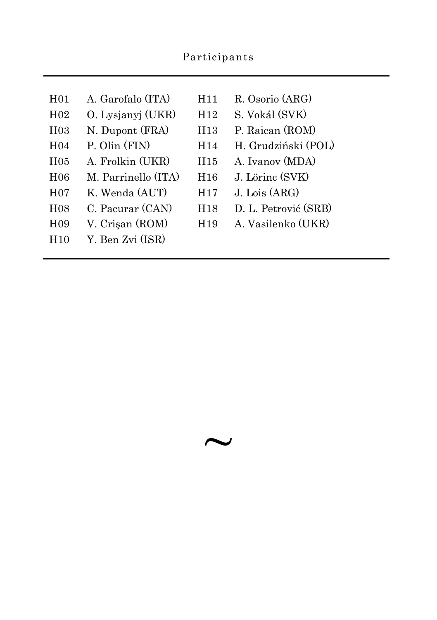|                  | Participants        |                 |                           |
|------------------|---------------------|-----------------|---------------------------|
|                  |                     |                 |                           |
| H <sub>01</sub>  | A. Garofalo (ITA)   | H11             | R. Osorio (ARG)           |
| H <sub>02</sub>  | O. Lysjanyj (UKR)   | H <sub>12</sub> | S. Vokál (SVK)            |
| H <sub>0</sub> 3 | N. Dupont (FRA)     | H <sub>13</sub> | P. Raican (ROM)           |
| H <sub>04</sub>  | P. Olin (FIN)       | H <sub>14</sub> | H. Grudziński (POL)       |
| H <sub>05</sub>  | A. Frolkin (UKR)    | H15             | A. Ivanov (MDA)           |
| H <sub>06</sub>  | M. Parrinello (ITA) | H16             | J. Lörinc (SVK)           |
| H <sub>0</sub> 7 | K. Wenda (AUT)      | H <sub>17</sub> | $J_{\text{L}}$ Lois (ARG) |
| H <sub>08</sub>  | C. Pacurar (CAN)    | H <sub>18</sub> | D. L. Petrović (SRB)      |
| H <sub>09</sub>  | V. Crisan (ROM)     | H <sub>19</sub> | A. Vasilenko (UKR)        |
| H10              | Y. Ben Zvi (ISR)    |                 |                           |

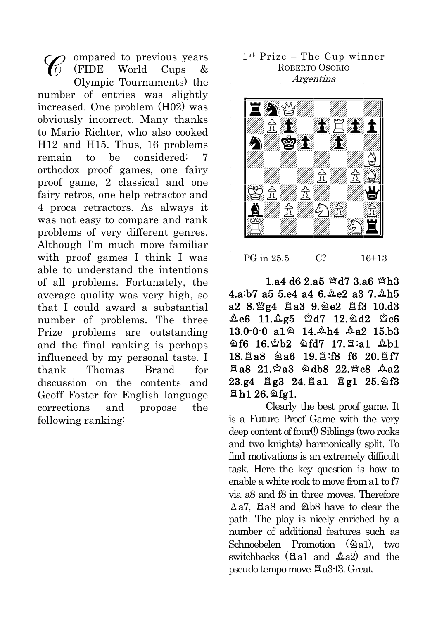ompared to previous years (FIDE World Cups & Olympic Tournaments) the number of entries was slightly increased. One problem (H02) was obviously incorrect. Many thanks to Mario Richter, who also cooked H12 and H15. Thus, 16 problems remain to be considered: orthodox proof games, one fairy proof game, 2 classical and one fairy retros, one help retractor and 4 proca retractors. As always it was not easy to compare and rank problems of very different genres. Although I'm much more familiar with proof games I think I was able to understand the intentions of all problems. Fortunately, the average quality was very high, so that I could award a substantial number of problems. The three Prize problems are outstanding and the final ranking is perhaps influenced by my personal taste. I thank Thomas Brand for discussion on the contents and Geoff Foster for English language corrections and propose the following ranking:

## 1st Prize - The Cup winner ROBERTO OSORIO Argentina



PG in 25.5 C? 16+13

 $1.94$  d6  $2.95$   $\%$ d7  $3.96$   $\%$ h3 4.a:b7 a5 5.e4 a4 6. e2 a3 7. ah5  $a28.$  22  $a4$   $a39.$   $a22$   $a1310.$ d3  $\&e6$  11. $\&g5$   $\&d7$  12. $\&d2$   $\&c6$  $13.0 - 0 - 0$  a $14.4$   $44.42$   $15.53$  $8f6$  16.2b2  $8fd7$  17. $8a1$   $8b1$ 18. a8 a6 19. a:f8 f6 20. af7 Ea8 21. 2a3 2db8 22. Fc8 2a2  $23.g4$   $\Xi$ g $3$   $24.$  $\Xi$ a $1$   $\Xi$ g $1$   $25.$  $\triangle$ f $3$  $Bh1 26.$   $2$ fg1.

Clearly the best proof game. It is a Future Proof Game with the very deep content of four(!) Siblings (two rooks and two knights) harmonically split. To find motivations is an extremely difficult task. Here the key question is how to enable a white mok to move from a  $1$  to  $f7$ via a8 and f8 in three moves. Therefore  $\Delta a7$ . Ela8 and  $\Delta b8$  have to clear the path. The play is nicely enriched by a number of additional features such as  $Schnoebelen$  Promotion  $(2a1)$ , two switchbacks  $(Ba1 \text{ and } Aa2)$  and the pseudo tempo move  $Xi$  a3-f3. Great.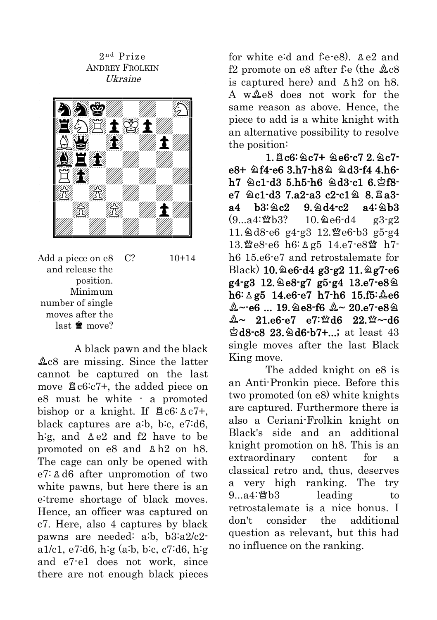2<sup>nd</sup> Prize ANDREY FROLKIN Ukraine



Add a piece on e8 and release the position. Minimum number of single moves after the last  $\mathbf{\dot{w}}$  move?  $C? \t10+14$ 

A black pawn and the black  $\&c8$  are missing. Since the latter cannot be captured on the last move  $\Xi$ c6:c7+, the added piece on e8 must be white - a promoted bishop or a knight. If  $\overline{a}$ c6:  $\lambda$ c7+, black captures are a:b, b:c, e7:d6, h:g, and  $\&e2$  and  $f2$  have to be promoted on  $e8$  and  $\Delta h2$  on h8. The cage can only be opened with  $e7:$  A d6 after unpromotion of two white pawns, but here there is an e:treme shortage of black moves. Hence, an officer was captured on c7. Here, also 4 captures by black pawns are needed: a:b, b3:a2/c2 a1/c1, e7:d6, h:g (a:b, b:c, c7:d6, h:g and e7-e1 does not work, since there are not enough black pieces for white eid and fie-e8).  $\Delta e2$  and f2 promote on e8 after f: e (the  $\&c8$ is captured here) and  $\Delta$ h2 on h8. A w  $\&$ e8 does not work for the same reason as above. Hence, the piece to add is a white knight with an alternative possibility to resolve the position:

 $1.5c6:2c7+2e6-c7$   $2.2c7$  $e8+$   $2f4-e6$  3.h7-h8 $2$   $2d3-f4$  4.h6 $h7 \trianglelefteq c1-d3 \ 5.h5-h6 \trianglelefteq d3-c1 \ 6.\$  $e7 \& c1-d3 \ 7.a2-a3 \ c2-c1 \& 8.Ba3$  $a4$  b3:  $a2$  9.  $a4 - c2$   $a4$ :  $a$ b3  $(9...a4:\mathcal{W}b3?$  10.  $\&e6-d4$  g3-g2  $11.2d8-e6$  g4-g3  $12.\mathcal{W}e6-b3$  g5-g4 13. e8-e6 h6:  $\&$  g5 14.e7-e8瞥 h7h6 15.e6-e7 and retrostalemate for  $Black)$  10.  $\triangle$ e6-d4 g3-g2 11.  $\triangle$ g7-e6  $g4-g3$  12. $g8-g7$  g5-g4 13.e7-e8 $g$  $h6: \Delta g5$  14.e6-e7 h7-h6 15.f5:  $\Delta g6$  $A - e6$  ... 19. e8-f6  $A - 20.$ e7-e8 $\approx$  $A \sim 21.66 - 67$   $e7$ :  $\%$ d6 22.  $\% \sim$ d6  $\triangle$ d8-c8 23. $\triangle$ d6-b7+...; at least 43 single moves after the last Black King move.

The added knight on e8 is an Anti-Pronkin piece. Before this two promoted (on e8) white knights are captured. Furthermore there is also a Ceriani-Frolkin knight on Black's side and an additional knight promotion on h8. This is an extraordinary content for a classical retro and, thus, deserves a very high ranking. The try  $9...a4$ :  $8b3$  leading to retrostalemate is a nice bonus. I don't consider the additional question as relevant, but this had no influence on the ranking.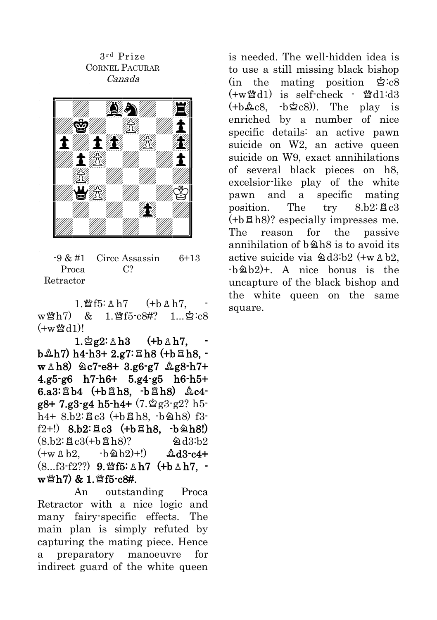3 r d Prize CORNEL PACURAR Canada



 $-9 & 2 \pm 1$ Proca Retractor Circe Assassin  $C<sub>2</sub>$ 6+13

 $1.$ 營f5:  $\Delta$  h7 (+b  $\Delta$  h7,  $w^{\omega}$ h7) & 1. $^{\omega}$ f5-c8#? 1... $\circ$ c8  $(+w \mathcal{W} d1)$ !

 $1.\n$ 2g2:  $\triangle$  h3 (+b  $\triangle$  h7,  $b\triangle h7$ ) h4-h3+ 2.g7: $Bh8$  (+b $Bh8$ ,  $w \triangle h8$ )  $\triangle c7-e8+ 3.$ g6-g7  $\triangle g8-h7+$ 4.g5-g6 h7-h6+ 5.g4-g5 h6-h5+  $6.a3:EBb4$  (+b $EBb8$ , -b $EBb8$ )  $\&c4$  $g8+7.g3-g4 h5-h4+(7.9g3-g2? h5-f1)$  $h4+8h2:$   $Re3$  (+ $h8h8$ ,  $h8h8$ ) f3 $f(2+!)$  8.b2: $\Xi$ c3 (+b $\Xi$ h8, -b $\triangleq$ h8!)  $(8.52:BC3(+6B)$ ?  $\qquad \qquad \textcircled{a} d3:b2$  $(+w \& b2, \quad -b \& b2)+!) \qquad \& d3-c4+$  $(8...f3-f2?)$  9. for  $h7$  (+b  $\Delta$  h7, w 營h7) & 1. 營f5-c8#.

An outstanding Proca Retractor with a nice logic and many fairy-specific effects. The main plan is simply refuted by capturing the mating piece. Hence a preparatory manoeuvre for indirect guard of the white queen is needed. The well-hidden idea is to use a still missing black bishop  $(in the mating position  $\& c8$$  $(+w \mathcal{U} d1)$  is self-check -  $\mathcal{U} d1:d3$  $(+b\&c8, -b\&c8)$ ). The play is enriched by a number of nice specific details: an active pawn suicide on W2, an active queen suicide on W9, exact annihilations of several black pieces on h8, excelsior-like play of the white pawn and a specific mating position. The  $trv = 8.62$ :  $\text{g}c3$  $(+b\boxtimes h8)$ ? especially impresses me. The reason for the passive annihilation of  $b\hat{a}h8$  is to avoid its active suicide via  $\triangle 03:b2$  (+w  $\triangle b2$ ,  $-b\&0h2$  +. A nice bonus is the uncapture of the black bishop and the white queen on the same square.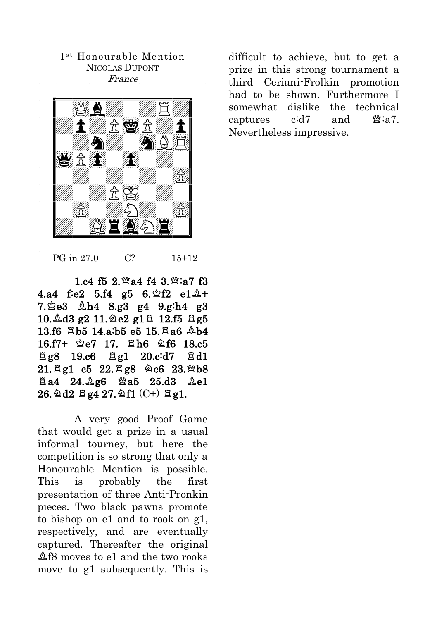1<sup>st</sup> Honourable Mention NICOLAS DUPONT France



difficult to achieve, but to get a prize in this strong tournament a third Ceriani-Frolkin promotion had to be shown. Furthermore I somewhat dislike the technical captures  $c:d7$  and  $\mathfrak{B}:\mathfrak{a}7$ . Nevertheless impressive.

PG in 27.0 C? 15+12

 $1. c4$  f5 2.  $\mathfrak{A}$  a4 f4 3.  $\mathfrak{A}$  : a7 f3 4.a4 f:e2 5.f4 g5  $6.\,$ \$f2 e1 $\,$ 4+  $7.$  $2e3$   $4.4$   $8.93$   $9.4$   $9.9$ ;  $h4$   $9.3$  $10.\text{\textsterling}d3$  g2  $11.\text{\textsterling}e2$  g1 $\text{H}$  12.f5  $\text{H}$  g5  $13.66$   $Bh5$   $14.9$ ;  $h5$   $e5$   $15.$   $Ba6$   $Ab4$ 16.f7+  $2e7$  17.  $2h6$   $2f6$  18.c5  $\Xi$ g8 19.c6  $\Xi$ g1 20.c:d7  $\Xi$ d1  $21.$  Eg1 c5 22. Eg8 2c6 23. Wb8  $E$ a4 24. $\triangle$ g6  $\cong$ a5 25.d3  $\triangle$ e1  $26.$   $2d2$   $g4$   $27.$   $2f1$   $(C+)$   $gg1$ .

A very good Proof Game that would get a prize in a usual informal tourney, but here the competition is so strong that only a Honourable Mention is possible. This is probably the first presentation of three Anti-Pronkin pieces. Two black pawns promote to bishop on e1 and to rook on g1, respectively, and are eventually captured. Thereafter the original  $\Delta$ f8 moves to e1 and the two rooks move to g1 subsequently. This is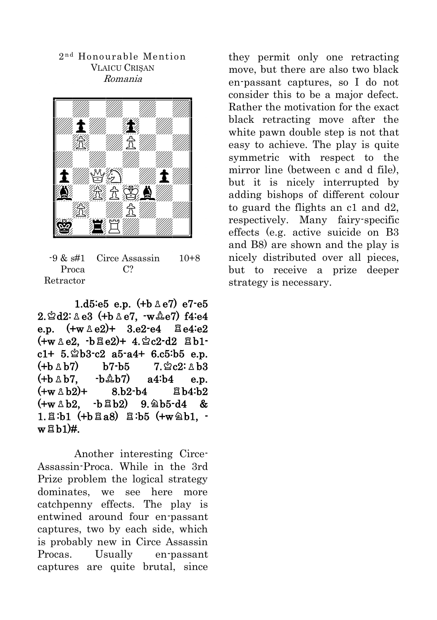#### 2 n d Honourable Mention VLAICU CRIŞAN Romania



 $-9 \& st41$ Proca Retractor Circe Assassin  $C<sub>2</sub>$ 10+8

1.d5:e5 e.p.  $(+b \triangle e7)$  e7-e5  $2.\n$  $2d2:\n$   $8d3$  (+b  $8e7$ ,  $-w \& 2e7$ ) f4:e4 e.p.  $(+w \triangle e2)+ 3.e2-e4$   $\triangle e4 \triangle e2$  $(+w \triangle e2, -b \triangle e2)+ 4.$  2c2-d2  $\triangle b1$  $c1+ 5.2 b3-c2 a5-a4+ 6.c5:b5 e.p.$  $(+h \wedge h7)$   $h7-h5$  7.  $\&c2: \wedge h3$  $(+b \triangle b7, \quad -b \triangle b7)$  a4:b4 e.p.  $(+w \wedge b2)+$  8.b2-b4  $\boxtimes$  b4:b2  $(+w \& b2, -b \& b2)$  9.  $\triangle$ b5-d4 &  $1.\,\boxtimes :$ b1 (+b $\boxtimes a8$ )  $\boxtimes :$ b5 (+w $\triangle 01$ ,  $w$  $B$  $h1$  $H$ .

 Another interesting Circe-Assassin-Proca. While in the 3rd Prize problem the logical strategy dominates, we see here more catchpenny effects. The play is entwined around four en-passant captures, two by each side, which is probably new in Circe Assassin Procas. Usually en-passant captures are quite brutal, since

they permit only one retracting move, but there are also two black en-passant captures, so I do not consider this to be a major defect. Rather the motivation for the exact black retracting move after the white pawn double step is not that easy to achieve. The play is quite symmetric with respect to the mirror line (between c and d file), but it is nicely interrupted by adding bishops of different colour to guard the flights an c1 and d2, respectively. Many fairy-specific effects (e.g. active suicide on B3 and B8) are shown and the play is nicely distributed over all pieces, but to receive a prize deeper strategy is necessary.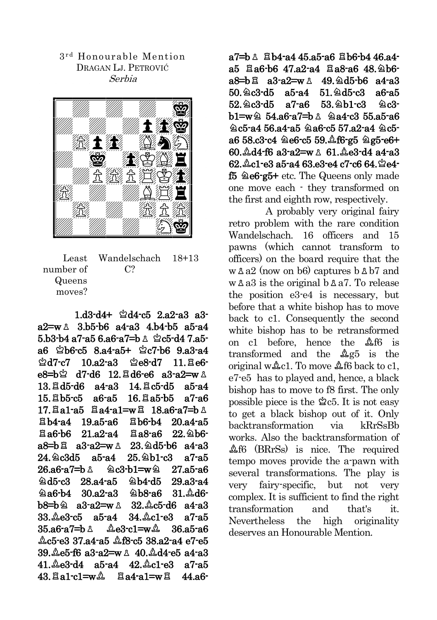3 r d Honourable Mention DRAGAN LJ. PETROVIĆ Serbia



Least number of Queens moves? Wandelschach  $C<sub>2</sub>$ 18+13

 $1. d3-d4+ \triangleleft d4-c5$   $2. a2-a3$   $a3$  $a2 = w \land 3.b5-b6 a4-a3 4.b4-b5 a5-a4$  $5.b3-b4$  a7-a5 6.a6-a7=b  $\&$   $\&$  c5-d4 7.a5 $a6 \& b6-c5 \& 8.a4-a5+ \& c7-b6 \& 9.a3-a4$  $\triangle$ d7-c7 10.a2-a3  $\triangle$ e8-d7 11. $\triangle$ e6 $e8=h\overset{\circ}{\sim}$  d7-d6 12.  $\overset{\circ}{A}$ d6-e6 a3-a2=w  $\overset{\circ}{\sim}$  $13. \text{Hd}5-\text{d}6$  a4-a3  $14. \text{H}c5-\text{d}5$  a5-a4  $15. \& b5-c5$  a6-a5  $16. \& a5-b5$  a7-a6  $17.$   $\Xi$ a1-a5  $\Xi$ a4-a1=w $\Xi$  18.a6-a7=b  $\Delta$  $Bb4-a4$  19.a5-a6  $Bb6-b4$  20.a4-a5  $\overline{a}$ a6-b6 21.a2-a4  $\overline{a}$ a8-a6 22. $\overline{a}$ b6 $a8=bB$  a3-a2=w  $\Delta$  23. $\Delta$ d5-b6 a4-a3  $24.2c3d5$  a5-a4  $25.2b1c3$  a7-a5  $26.96 - 97 = h \cdot 20.3 - h1 = w \cdot 27.95 - 96$  $\triangle$ d5-c3 28.a4-a5  $\triangle$ h4-d5 29.a3-a4  $a6-b4$  30.a2-a3  $a6-8a6$  31. $a6$  $b8=b$   $a3-a2=w$   $a$   $32.4c5-d6$   $a4-a3$  $33. \& e3-c5$  a5-a4  $34. \& c1-e3$  a7-a5  $35.96 - 7 = b$   $\lambda$   $2e3 - 1 = w2$   $36.95 - 86$  $\&c5$ -e3 37.a4-a5  $\&f8$ -c5 38.a2-a4 e7-e5  $39.$  $\&$ e5-f6 a3-a2=w  $\&$  40. $\&$ d4-e5 a4-a3  $41. \& 63- d4$   $a5-a4$   $42. \& c1-e3$   $a7-a5$  $43. \text{Ra}1 - c1 = w_1$   $\therefore$   $Ra4 - a1 = w_1$   $44. a6$ 

 $a7=b$   $\&$   $Bb4-a4$  45.a5-a6  $Bb6-b4$  46.a4 $a5$   $\Xi a6-b6$   $47.a2-a4$   $\Xi a8-a6$   $48.\&2b6$  $a8=bB$   $a3-a2=w$   $A$   $49.$   $\& d5-b6$   $a4-a3$  $50.$  $\&c3$ -d $5$  a $5$ -a $4$   $51.$  $\&d5$ - $c3$  a $6$ -a $5$  $52.\,9c3-d5$  a7-a6  $53.\,9b1-c3$   $9c3$  $b1 = w \& 54. a6-a7 = b \& 2a4-c3 55. a5-a6$  $\alpha$ 5-a4 56.a4-a5  $\alpha$ a6-c5 57.a2-a4  $\alpha$ c5a6 58.c3-c4  $\triangle$ e6-c5 59. $\triangle$ f6-g5  $\triangle$ g5-e6+  $60.$  $\&$ d4-f6 a3-a2=w  $\&$  61. $\&$ e3-d4 a4-a3  $62.\triangle$ c1-e3 a5-a4  $63.\angle$ 3-e4 c7-c6  $64.\triangle$ e4f5  $\triangle$ e6-g5+ etc. The Queens only made one move each - they transformed on the first and eighth row, respectively.

A probably very original fairy retro problem with the rare condition Wandelschach. 16 officers and 15 pawns (which cannot transform to officers) on the board require that the  $w \Delta a2$  (now on b6) captures b  $\Delta b7$  and  $w \Delta a3$  is the original b  $\Delta a7$ . To release the position e3-e4 is necessary, but before that a white bishop has to move back to c1. Consequently the second white bishop has to be retransformed on  $c1$  before, hence the  $\&6$  is transformed and the  $\&$ g5 is the original  $w\&c1$ . To move  $\&6$  back to c1, e7-e5 has to played and, hence, a black bishop has to move to f8 first. The only possible piece is the  $2c5$ . It is not easy to get a black bishop out of it. Only backtransformation via kRrSsBb works. Also the backtransformation of  $\Delta$ f6 (BRrSs) is nice. The required tempo moves provide the a-pawn with several transformations. The play is very fairy-specific, but not very complex. It is sufficient to find the right transformation and that's it. Nevertheless the high originality deserves an Honourable Mention.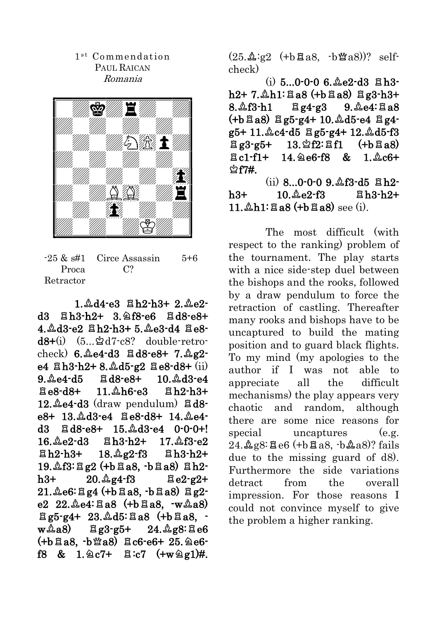# 1<sup>st</sup> Commendation PAUL RAICAN Romania



 $-25 \& \text{st1}$ Proca Retractor Circe Assassin  $C<sub>2</sub>$ 5+6

 $1.\Delta d4 - e3$   $Bh2-h3+ 2.\Delta e2$ d3  $Bh3-h2+ 3.2f8-e6$   $Bd8-e8+$  $4.$  $\&$ d3-e2  $\&$ h2-h3+ 5. $\&$ e3-d4  $\&$ e8 $d8+(i)$   $(5...\&d7-c8?$  double-retrocheck)  $6.\&64-d3 \times d8-e8+ 7.\&g2$ e4  $Bh3-h2+8.$   $A_05-g2$   $B_08-d8+$  (ii)  $9. \& 64 - d5 \quad \& 10. \& 13 - e4$  $B = 8 - d8 + 11.$  $A + 6 - e3$   $B + 2 - h3 +$  $12.\mathcal{L}$ e4-d3 (draw pendulum)  $\ddot{\mathbf{a}}$ d8e8+ 13. Ad3-e4  $\Xi$ e8-d8+ 14. Ae4d3  $\overline{a}$ d8-e8+ 15. $\stackrel{a}{\triangle}$ d3-e4 0-0-0+!  $16.\&e2-d3$   $Bh3-h2+ 17.\&f3-e2$  $Bh2-h3+ 18.$   $2e2-f3$   $Bh3-h2+$  $19.4f3:Eq2 (+b4.8, b4.8)$  ah2 $h3+ 20. \&g4-f3 \&g2-g2+$  $21. \& 6: \& g4$  (+b $\& a8. \& b \& a8) \& g2$ e2  $22.\&e4:\&88$  (+b $\&88.\&\&48)$  $\Xi$ g5-g4+ 23. $\&$ d5: $\Xi$ a8 (+b $\Xi$ a8.  $w\&a8$ )  $\frac{8}{3}g3-g5+$  24. $\&g8:\&e6$  $(+b\boxtimes a8, b\boxtimes a8)$   $\boxtimes$   $c6-e6+25.$   $\triangle$   $e6$ f8 & 1. $\&$  7+  $\&$  :c7 (+w $\&$ g1)#.  $(25.\Delta:g2$   $(+b\boxtimes a8, b\boxtimes a8))$ ? selfcheck)

 $(i)$  5...0-0-0 6.  $\&$  e2-d3  $\&$  h3 $h2+ 7. \&h1: Ba8 (+bEa8) Be3-h3+$  $8.\&13-h1$   $\boxtimes$  g4-g3  $9.\&64:\&38$  $(+b\boxtimes a8)$   $\boxtimes g5-g4+ 10.\&d5-e4 \boxtimes g4$  $g5+11.\&c4-d5 \triangle g5-g4+12.\&d5-f3$  $\Xi$ g3-g5+ 13. $\angle$ f2: $\Xi$ f1 (+b $\Xi$ a8)  $\pi$ c1-f1+ 14. $\alpha$ e6-f8 & 1. $\alpha$ c6+  $\mathcal{\mathcal{L}}$  f7#.

 $(ii)$  8...0-0-0 9. $\&$ f3-d5  $\n **B**$ h2 $h3+ 10. \&e2-f3$   $Bh3-h2+$  $11. \Delta h1: Ba8$  (+b $Ba8$ ) see (i).

The most difficult (with respect to the ranking) problem of the tournament. The play starts with a nice side-step duel between the bishops and the rooks, followed by a draw pendulum to force the retraction of castling. Thereafter many rooks and bishops have to be uncaptured to build the mating position and to guard black flights. To my mind (my apologies to the author if I was not able to appreciate all the difficult mechanisms) the play appears very chaotic and random, although there are some nice reasons for special uncaptures (e.g.  $24.\Delta g8$ :  $26 (+b2a8)$ ? fails due to the missing guard of d8). Furthermore the side variations detract from the overall impression. For those reasons I could not convince myself to give the problem a higher ranking.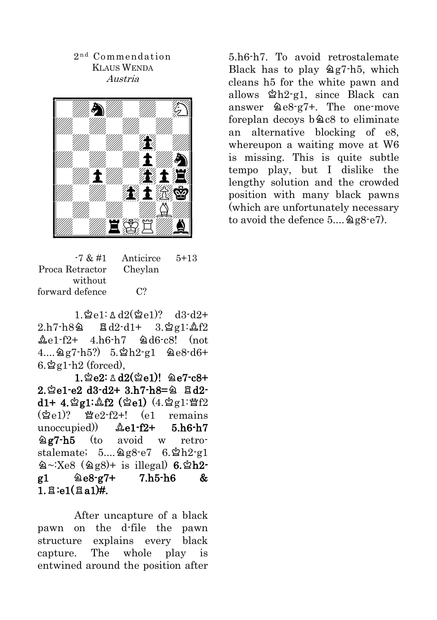# 2 n d Commendation KLAUS WENDA Austria



| $-7 & 41$<br>Anticirce | $5+13$ |
|------------------------|--------|
| Cheylan                |        |
|                        |        |
| C <sup>2</sup>         |        |
|                        |        |

 $1 \, \text{M} = 1:1 \, \text{M} = 12$  $2.h7-h8$ a  $Bd2-d1+ 3.2g1:2f2$  $\&e1-f2+ 4.h6-h7 \& de6-c8!$  (not  $4...997-h5?$   $5.2h2-91$   $9e8-d6+$  $6.\n$ ቋg1-h2 (forced),

 $1.$  $2e2:$   $\triangle$  d2( $\triangle$ e1)!  $\triangle$ e7-c8+  $2.\,$  $2.$  $\,$  $2e1-e2$   $d3-d2+3.h7-h8=$  $\,2.$   $\,$   $\,2d2$  $d1+ 4.2g1:2f2$  (2e1)  $(4.2g1:2f2)$  $(\phi_{P1})$ ?  $\psi_{P2}$ -f2+! (e1 remains unoccupied))  $\&e1-f2+ 5.h6-h7$  $\angle$ g7-h5 (to avoid w retrostalemate;  $5...$  $9g8-e7$   $6.\,9h2-g1$  $\triangle$  ~:Xe8 ( $\triangle$ g8)+ is illegal) 6. $\triangle$ h2 $g1 \t\t\t\t@e8-g7+ \t\t7.h5-h6 \t\t\t&$  $1.5:e1(f1a1)$ #.

After uncapture of a black pawn on the d-file the pawn structure explains every black capture. The whole play is entwined around the position after 5.h6-h7. To avoid retrostalemate Black has to play  $\angle 2g7-h5$ , which cleans h5 for the white pawn and allows  $\Delta h$ 2-g1, since Black can answer  $\&e8-g7+$ . The one-move foreplan decoys  $b@c8$  to eliminate an alternative blocking of e8, whereupon a waiting move at W6 is missing. This is quite subtle tempo play, but I dislike the lengthy solution and the crowded position with many black pawns (which are unfortunately necessary to avoid the defence  $5...$   $2g8-e7$ ).